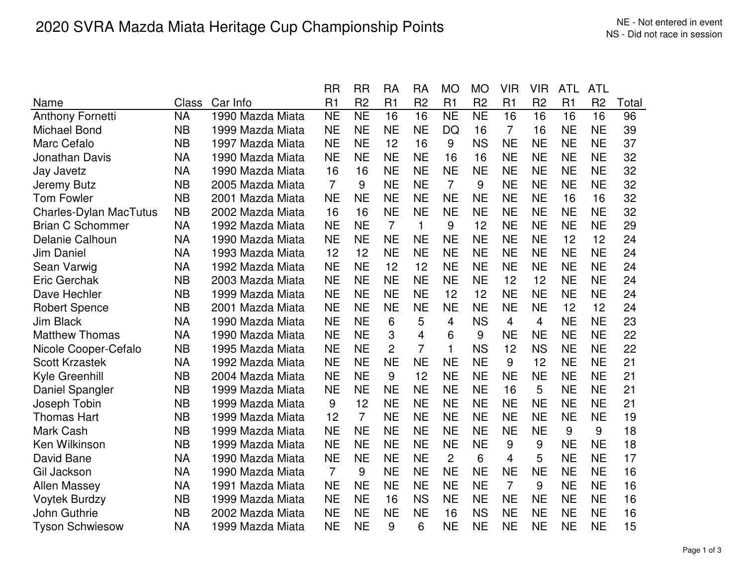|                               |              |                  | <b>RR</b>      | <b>RR</b>      | <b>RA</b>      | <b>RA</b>      | <b>MO</b>      | <b>MO</b>      | <b>VIR</b>     | <b>VIR</b>     | <b>ATL</b>     | <b>ATL</b>     |       |
|-------------------------------|--------------|------------------|----------------|----------------|----------------|----------------|----------------|----------------|----------------|----------------|----------------|----------------|-------|
| Name                          | <b>Class</b> | Car Info         | R1             | R <sub>2</sub> | R1             | R <sub>2</sub> | R1             | R <sub>2</sub> | R1             | R <sub>2</sub> | R <sub>1</sub> | R <sub>2</sub> | Total |
| <b>Anthony Fornetti</b>       | <b>NA</b>    | 1990 Mazda Miata | <b>NE</b>      | <b>NE</b>      | 16             | 16             | <b>NE</b>      | <b>NE</b>      | 16             | 16             | 16             | 16             | 96    |
| <b>Michael Bond</b>           | <b>NB</b>    | 1999 Mazda Miata | <b>NE</b>      | <b>NE</b>      | <b>NE</b>      | <b>NE</b>      | DQ             | 16             | $\overline{7}$ | 16             | <b>NE</b>      | <b>NE</b>      | 39    |
| Marc Cefalo                   | <b>NB</b>    | 1997 Mazda Miata | <b>NE</b>      | <b>NE</b>      | 12             | 16             | 9              | <b>NS</b>      | <b>NE</b>      | <b>NE</b>      | <b>NE</b>      | <b>NE</b>      | 37    |
| Jonathan Davis                | <b>NA</b>    | 1990 Mazda Miata | <b>NE</b>      | <b>NE</b>      | <b>NE</b>      | <b>NE</b>      | 16             | 16             | <b>NE</b>      | <b>NE</b>      | <b>NE</b>      | <b>NE</b>      | 32    |
| Jay Javetz                    | <b>NA</b>    | 1990 Mazda Miata | 16             | 16             | <b>NE</b>      | <b>NE</b>      | <b>NE</b>      | <b>NE</b>      | <b>NE</b>      | <b>NE</b>      | <b>NE</b>      | <b>NE</b>      | 32    |
| Jeremy Butz                   | <b>NB</b>    | 2005 Mazda Miata | $\overline{7}$ | 9              | <b>NE</b>      | <b>NE</b>      | $\overline{7}$ | 9              | <b>NE</b>      | <b>NE</b>      | <b>NE</b>      | <b>NE</b>      | 32    |
| <b>Tom Fowler</b>             | <b>NB</b>    | 2001 Mazda Miata | <b>NE</b>      | <b>NE</b>      | <b>NE</b>      | <b>NE</b>      | <b>NE</b>      | <b>NE</b>      | <b>NE</b>      | <b>NE</b>      | 16             | 16             | 32    |
| <b>Charles-Dylan MacTutus</b> | <b>NB</b>    | 2002 Mazda Miata | 16             | 16             | <b>NE</b>      | <b>NE</b>      | <b>NE</b>      | <b>NE</b>      | <b>NE</b>      | <b>NE</b>      | <b>NE</b>      | <b>NE</b>      | 32    |
| <b>Brian C Schommer</b>       | <b>NA</b>    | 1992 Mazda Miata | <b>NE</b>      | <b>NE</b>      | $\overline{7}$ | $\mathbf{1}$   | 9              | 12             | <b>NE</b>      | <b>NE</b>      | <b>NE</b>      | <b>NE</b>      | 29    |
| Delanie Calhoun               | <b>NA</b>    | 1990 Mazda Miata | <b>NE</b>      | <b>NE</b>      | <b>NE</b>      | <b>NE</b>      | <b>NE</b>      | <b>NE</b>      | <b>NE</b>      | <b>NE</b>      | 12             | 12             | 24    |
| <b>Jim Daniel</b>             | <b>NA</b>    | 1993 Mazda Miata | 12             | 12             | <b>NE</b>      | <b>NE</b>      | <b>NE</b>      | <b>NE</b>      | <b>NE</b>      | <b>NE</b>      | <b>NE</b>      | <b>NE</b>      | 24    |
| Sean Varwig                   | <b>NA</b>    | 1992 Mazda Miata | <b>NE</b>      | <b>NE</b>      | 12             | 12             | <b>NE</b>      | <b>NE</b>      | <b>NE</b>      | <b>NE</b>      | <b>NE</b>      | <b>NE</b>      | 24    |
| <b>Eric Gerchak</b>           | <b>NB</b>    | 2003 Mazda Miata | <b>NE</b>      | <b>NE</b>      | <b>NE</b>      | <b>NE</b>      | <b>NE</b>      | <b>NE</b>      | 12             | 12             | <b>NE</b>      | <b>NE</b>      | 24    |
| Dave Hechler                  | <b>NB</b>    | 1999 Mazda Miata | <b>NE</b>      | <b>NE</b>      | <b>NE</b>      | <b>NE</b>      | 12             | 12             | <b>NE</b>      | <b>NE</b>      | <b>NE</b>      | <b>NE</b>      | 24    |
| <b>Robert Spence</b>          | <b>NB</b>    | 2001 Mazda Miata | <b>NE</b>      | <b>NE</b>      | <b>NE</b>      | <b>NE</b>      | <b>NE</b>      | <b>NE</b>      | <b>NE</b>      | <b>NE</b>      | 12             | 12             | 24    |
| <b>Jim Black</b>              | <b>NA</b>    | 1990 Mazda Miata | <b>NE</b>      | <b>NE</b>      | 6              | 5              | 4              | <b>NS</b>      | 4              | 4              | <b>NE</b>      | <b>NE</b>      | 23    |
| <b>Matthew Thomas</b>         | <b>NA</b>    | 1990 Mazda Miata | <b>NE</b>      | <b>NE</b>      | 3              | $\overline{4}$ | 6              | 9              | <b>NE</b>      | <b>NE</b>      | <b>NE</b>      | <b>NE</b>      | 22    |
| Nicole Cooper-Cefalo          | <b>NB</b>    | 1995 Mazda Miata | <b>NE</b>      | <b>NE</b>      | 2              | $\overline{7}$ | 1              | <b>NS</b>      | 12             | <b>NS</b>      | <b>NE</b>      | <b>NE</b>      | 22    |
| Scott Krzastek                | <b>NA</b>    | 1992 Mazda Miata | <b>NE</b>      | <b>NE</b>      | <b>NE</b>      | <b>NE</b>      | <b>NE</b>      | <b>NE</b>      | 9              | 12             | <b>NE</b>      | <b>NE</b>      | 21    |
| Kyle Greenhill                | <b>NB</b>    | 2004 Mazda Miata | <b>NE</b>      | <b>NE</b>      | 9              | 12             | <b>NE</b>      | <b>NE</b>      | <b>NE</b>      | <b>NE</b>      | <b>NE</b>      | <b>NE</b>      | 21    |
| Daniel Spangler               | <b>NB</b>    | 1999 Mazda Miata | <b>NE</b>      | <b>NE</b>      | <b>NE</b>      | <b>NE</b>      | <b>NE</b>      | <b>NE</b>      | 16             | 5              | <b>NE</b>      | <b>NE</b>      | 21    |
| Joseph Tobin                  | <b>NB</b>    | 1999 Mazda Miata | 9              | 12             | <b>NE</b>      | <b>NE</b>      | <b>NE</b>      | <b>NE</b>      | <b>NE</b>      | <b>NE</b>      | <b>NE</b>      | <b>NE</b>      | 21    |
| <b>Thomas Hart</b>            | <b>NB</b>    | 1999 Mazda Miata | 12             | $\overline{7}$ | <b>NE</b>      | <b>NE</b>      | <b>NE</b>      | <b>NE</b>      | <b>NE</b>      | <b>NE</b>      | <b>NE</b>      | <b>NE</b>      | 19    |
| Mark Cash                     | <b>NB</b>    | 1999 Mazda Miata | <b>NE</b>      | <b>NE</b>      | <b>NE</b>      | <b>NE</b>      | <b>NE</b>      | <b>NE</b>      | <b>NE</b>      | <b>NE</b>      | 9              | 9              | 18    |
| Ken Wilkinson                 | <b>NB</b>    | 1999 Mazda Miata | <b>NE</b>      | <b>NE</b>      | <b>NE</b>      | <b>NE</b>      | <b>NE</b>      | <b>NE</b>      | 9              | 9              | <b>NE</b>      | <b>NE</b>      | 18    |
| David Bane                    | <b>NA</b>    | 1990 Mazda Miata | <b>NE</b>      | <b>NE</b>      | <b>NE</b>      | <b>NE</b>      | 2              | 6              | 4              | 5              | <b>NE</b>      | <b>NE</b>      | 17    |
| Gil Jackson                   | <b>NA</b>    | 1990 Mazda Miata | $\overline{7}$ | 9              | <b>NE</b>      | <b>NE</b>      | <b>NE</b>      | <b>NE</b>      | <b>NE</b>      | <b>NE</b>      | <b>NE</b>      | <b>NE</b>      | 16    |
| <b>Allen Massey</b>           | <b>NA</b>    | 1991 Mazda Miata | <b>NE</b>      | <b>NE</b>      | <b>NE</b>      | <b>NE</b>      | <b>NE</b>      | <b>NE</b>      | 7              | 9              | <b>NE</b>      | <b>NE</b>      | 16    |
| <b>Voytek Burdzy</b>          | <b>NB</b>    | 1999 Mazda Miata | <b>NE</b>      | <b>NE</b>      | 16             | <b>NS</b>      | <b>NE</b>      | <b>NE</b>      | <b>NE</b>      | <b>NE</b>      | <b>NE</b>      | <b>NE</b>      | 16    |
| John Guthrie                  | <b>NB</b>    | 2002 Mazda Miata | <b>NE</b>      | <b>NE</b>      | <b>NE</b>      | <b>NE</b>      | 16             | <b>NS</b>      | <b>NE</b>      | <b>NE</b>      | <b>NE</b>      | <b>NE</b>      | 16    |
| <b>Tyson Schwiesow</b>        | <b>NA</b>    | 1999 Mazda Miata | <b>NE</b>      | <b>NE</b>      | 9              | 6              | <b>NE</b>      | <b>NE</b>      | <b>NE</b>      | <b>NE</b>      | <b>NE</b>      | <b>NE</b>      | 15    |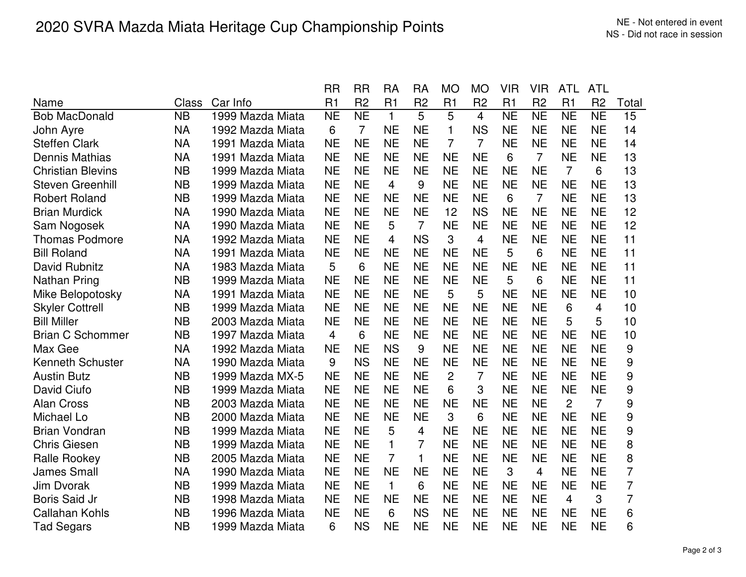|                          |           |                  | <b>RR</b> | <b>RR</b>      | <b>RA</b>      | <b>RA</b>      | <b>MO</b>      | <b>MO</b>      | <b>VIR</b> | <b>VIR</b>     | <b>ATL</b>     | <b>ATL</b>     |                |
|--------------------------|-----------|------------------|-----------|----------------|----------------|----------------|----------------|----------------|------------|----------------|----------------|----------------|----------------|
| Name                     | Class     | Car Info         | R1        | R <sub>2</sub> | R1             | R <sub>2</sub> | R <sub>1</sub> | R <sub>2</sub> | R1         | R <sub>2</sub> | R <sub>1</sub> | R <sub>2</sub> | Total          |
| <b>Bob MacDonald</b>     | <b>NB</b> | 1999 Mazda Miata | <b>NE</b> | <b>NE</b>      | $\mathbf{1}$   | 5              | 5              | $\overline{4}$ | <b>NE</b>  | <b>NE</b>      | <b>NE</b>      | <b>NE</b>      | 15             |
| John Ayre                | <b>NA</b> | 1992 Mazda Miata | 6         | $\overline{7}$ | <b>NE</b>      | <b>NE</b>      | 1              | <b>NS</b>      | <b>NE</b>  | <b>NE</b>      | <b>NE</b>      | <b>NE</b>      | 14             |
| <b>Steffen Clark</b>     | <b>NA</b> | 1991 Mazda Miata | <b>NE</b> | <b>NE</b>      | <b>NE</b>      | <b>NE</b>      | $\overline{7}$ | $\overline{7}$ | <b>NE</b>  | <b>NE</b>      | <b>NE</b>      | <b>NE</b>      | 14             |
| <b>Dennis Mathias</b>    | <b>NA</b> | 1991 Mazda Miata | <b>NE</b> | <b>NE</b>      | <b>NE</b>      | <b>NE</b>      | <b>NE</b>      | <b>NE</b>      | 6          | $\overline{7}$ | <b>NE</b>      | <b>NE</b>      | 13             |
| <b>Christian Blevins</b> | <b>NB</b> | 1999 Mazda Miata | <b>NE</b> | <b>NE</b>      | <b>NE</b>      | <b>NE</b>      | <b>NE</b>      | <b>NE</b>      | <b>NE</b>  | <b>NE</b>      | $\overline{7}$ | 6              | 13             |
| <b>Steven Greenhill</b>  | <b>NB</b> | 1999 Mazda Miata | <b>NE</b> | <b>NE</b>      | 4              | 9              | <b>NE</b>      | <b>NE</b>      | <b>NE</b>  | <b>NE</b>      | <b>NE</b>      | <b>NE</b>      | 13             |
| <b>Robert Roland</b>     | <b>NB</b> | 1999 Mazda Miata | <b>NE</b> | <b>NE</b>      | <b>NE</b>      | <b>NE</b>      | <b>NE</b>      | <b>NE</b>      | 6          | $\overline{7}$ | <b>NE</b>      | <b>NE</b>      | 13             |
| <b>Brian Murdick</b>     | <b>NA</b> | 1990 Mazda Miata | <b>NE</b> | <b>NE</b>      | <b>NE</b>      | <b>NE</b>      | 12             | <b>NS</b>      | <b>NE</b>  | <b>NE</b>      | <b>NE</b>      | <b>NE</b>      | 12             |
| Sam Nogosek              | <b>NA</b> | 1990 Mazda Miata | <b>NE</b> | <b>NE</b>      | 5              | $\overline{7}$ | <b>NE</b>      | <b>NE</b>      | <b>NE</b>  | <b>NE</b>      | <b>NE</b>      | <b>NE</b>      | 12             |
| <b>Thomas Podmore</b>    | <b>NA</b> | 1992 Mazda Miata | <b>NE</b> | <b>NE</b>      | 4              | <b>NS</b>      | 3              | 4              | <b>NE</b>  | <b>NE</b>      | <b>NE</b>      | <b>NE</b>      | 11             |
| <b>Bill Roland</b>       | <b>NA</b> | 1991 Mazda Miata | <b>NE</b> | <b>NE</b>      | <b>NE</b>      | <b>NE</b>      | <b>NE</b>      | <b>NE</b>      | 5          | 6              | <b>NE</b>      | <b>NE</b>      | 11             |
| David Rubnitz            | <b>NA</b> | 1983 Mazda Miata | 5         | 6              | <b>NE</b>      | <b>NE</b>      | <b>NE</b>      | <b>NE</b>      | <b>NE</b>  | <b>NE</b>      | <b>NE</b>      | <b>NE</b>      | 11             |
| Nathan Pring             | <b>NB</b> | 1999 Mazda Miata | <b>NE</b> | <b>NE</b>      | <b>NE</b>      | <b>NE</b>      | <b>NE</b>      | <b>NE</b>      | 5          | 6              | <b>NE</b>      | <b>NE</b>      | 11             |
| Mike Belopotosky         | <b>NA</b> | 1991 Mazda Miata | <b>NE</b> | <b>NE</b>      | <b>NE</b>      | <b>NE</b>      | 5              | 5              | <b>NE</b>  | <b>NE</b>      | <b>NE</b>      | <b>NE</b>      | 10             |
| <b>Skyler Cottrell</b>   | <b>NB</b> | 1999 Mazda Miata | <b>NE</b> | <b>NE</b>      | <b>NE</b>      | <b>NE</b>      | <b>NE</b>      | <b>NE</b>      | <b>NE</b>  | <b>NE</b>      | 6              | 4              | 10             |
| <b>Bill Miller</b>       | <b>NB</b> | 2003 Mazda Miata | <b>NE</b> | <b>NE</b>      | <b>NE</b>      | <b>NE</b>      | <b>NE</b>      | <b>NE</b>      | <b>NE</b>  | <b>NE</b>      | 5              | 5              | 10             |
| <b>Brian C Schommer</b>  | <b>NB</b> | 1997 Mazda Miata | 4         | 6              | <b>NE</b>      | <b>NE</b>      | <b>NE</b>      | <b>NE</b>      | <b>NE</b>  | <b>NE</b>      | <b>NE</b>      | <b>NE</b>      | 10             |
| Max Gee                  | <b>NA</b> | 1992 Mazda Miata | <b>NE</b> | <b>NE</b>      | <b>NS</b>      | 9              | <b>NE</b>      | <b>NE</b>      | <b>NE</b>  | <b>NE</b>      | <b>NE</b>      | <b>NE</b>      | 9              |
| <b>Kenneth Schuster</b>  | <b>NA</b> | 1990 Mazda Miata | 9         | <b>NS</b>      | <b>NE</b>      | <b>NE</b>      | <b>NE</b>      | <b>NE</b>      | <b>NE</b>  | <b>NE</b>      | <b>NE</b>      | <b>NE</b>      | 9              |
| <b>Austin Butz</b>       | <b>NB</b> | 1999 Mazda MX-5  | <b>NE</b> | <b>NE</b>      | <b>NE</b>      | <b>NE</b>      | 2              | $\overline{7}$ | <b>NE</b>  | <b>NE</b>      | <b>NE</b>      | <b>NE</b>      | 9              |
| David Ciufo              | <b>NB</b> | 1999 Mazda Miata | <b>NE</b> | <b>NE</b>      | <b>NE</b>      | <b>NE</b>      | 6              | 3              | <b>NE</b>  | <b>NE</b>      | <b>NE</b>      | <b>NE</b>      | 9              |
| <b>Alan Cross</b>        | <b>NB</b> | 2003 Mazda Miata | <b>NE</b> | <b>NE</b>      | <b>NE</b>      | <b>NE</b>      | <b>NE</b>      | <b>NE</b>      | <b>NE</b>  | <b>NE</b>      | $\overline{2}$ | $\overline{7}$ | 9              |
| Michael Lo               | <b>NB</b> | 2000 Mazda Miata | <b>NE</b> | <b>NE</b>      | <b>NE</b>      | <b>NE</b>      | 3              | 6              | <b>NE</b>  | <b>NE</b>      | <b>NE</b>      | <b>NE</b>      | 9              |
| <b>Brian Vondran</b>     | <b>NB</b> | 1999 Mazda Miata | <b>NE</b> | <b>NE</b>      | 5              | 4              | <b>NE</b>      | <b>NE</b>      | <b>NE</b>  | <b>NE</b>      | <b>NE</b>      | <b>NE</b>      | 9              |
| <b>Chris Giesen</b>      | <b>NB</b> | 1999 Mazda Miata | <b>NE</b> | <b>NE</b>      | $\mathbf{1}$   | 7              | <b>NE</b>      | <b>NE</b>      | <b>NE</b>  | <b>NE</b>      | <b>NE</b>      | <b>NE</b>      | 8              |
| Ralle Rookey             | <b>NB</b> | 2005 Mazda Miata | <b>NE</b> | <b>NE</b>      | $\overline{7}$ | 1              | <b>NE</b>      | <b>NE</b>      | <b>NE</b>  | <b>NE</b>      | <b>NE</b>      | <b>NE</b>      | 8              |
| <b>James Small</b>       | <b>NA</b> | 1990 Mazda Miata | <b>NE</b> | <b>NE</b>      | <b>NE</b>      | <b>NE</b>      | <b>NE</b>      | <b>NE</b>      | 3          | $\overline{4}$ | <b>NE</b>      | <b>NE</b>      | $\overline{7}$ |
| <b>Jim Dvorak</b>        | <b>NB</b> | 1999 Mazda Miata | <b>NE</b> | <b>NE</b>      | $\mathbf{1}$   | 6              | <b>NE</b>      | <b>NE</b>      | <b>NE</b>  | <b>NE</b>      | <b>NE</b>      | <b>NE</b>      | $\overline{7}$ |
| <b>Boris Said Jr</b>     | <b>NB</b> | 1998 Mazda Miata | <b>NE</b> | <b>NE</b>      | <b>NE</b>      | <b>NE</b>      | <b>NE</b>      | <b>NE</b>      | <b>NE</b>  | <b>NE</b>      | $\overline{4}$ | 3              | 7              |
| Callahan Kohls           | <b>NB</b> | 1996 Mazda Miata | <b>NE</b> | <b>NE</b>      | 6              | <b>NS</b>      | <b>NE</b>      | <b>NE</b>      | <b>NE</b>  | <b>NE</b>      | <b>NE</b>      | <b>NE</b>      | 6              |
| <b>Tad Segars</b>        | <b>NB</b> | 1999 Mazda Miata | 6         | <b>NS</b>      | <b>NE</b>      | <b>NE</b>      | <b>NE</b>      | <b>NE</b>      | <b>NE</b>  | <b>NE</b>      | <b>NE</b>      | <b>NE</b>      | 6              |